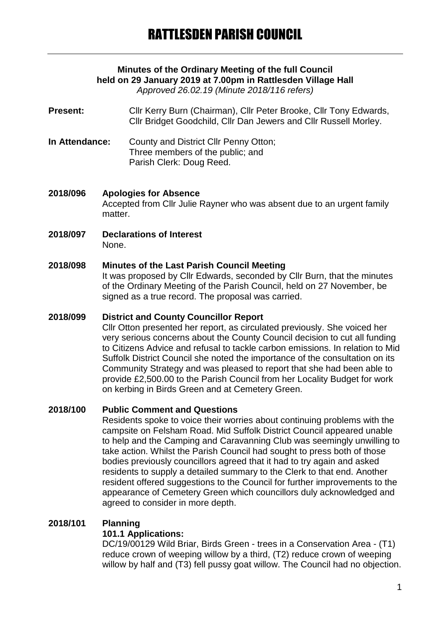# **Minutes of the Ordinary Meeting of the full Council held on 29 January 2019 at 7.00pm in Rattlesden Village Hall**

*Approved 26.02.19 (Minute 2018/116 refers)*

**Present:** Cllr Kerry Burn (Chairman), Cllr Peter Brooke, Cllr Tony Edwards, Cllr Bridget Goodchild, Cllr Dan Jewers and Cllr Russell Morley.

- **In Attendance:** County and District Cllr Penny Otton; Three members of the public; and Parish Clerk: Doug Reed.
- **2018/096 Apologies for Absence** Accepted from Cllr Julie Rayner who was absent due to an urgent family matter.
- **2018/097 Declarations of Interest** None.

### **2018/098 Minutes of the Last Parish Council Meeting**

It was proposed by Cllr Edwards, seconded by Cllr Burn, that the minutes of the Ordinary Meeting of the Parish Council, held on 27 November, be signed as a true record. The proposal was carried.

#### **2018/099 District and County Councillor Report**

Cllr Otton presented her report, as circulated previously. She voiced her very serious concerns about the County Council decision to cut all funding to Citizens Advice and refusal to tackle carbon emissions. In relation to Mid Suffolk District Council she noted the importance of the consultation on its Community Strategy and was pleased to report that she had been able to provide £2,500.00 to the Parish Council from her Locality Budget for work on kerbing in Birds Green and at Cemetery Green.

#### **2018/100 Public Comment and Questions**

Residents spoke to voice their worries about continuing problems with the campsite on Felsham Road. Mid Suffolk District Council appeared unable to help and the Camping and Caravanning Club was seemingly unwilling to take action. Whilst the Parish Council had sought to press both of those bodies previously councillors agreed that it had to try again and asked residents to supply a detailed summary to the Clerk to that end. Another resident offered suggestions to the Council for further improvements to the appearance of Cemetery Green which councillors duly acknowledged and agreed to consider in more depth.

# **2018/101 Planning**

### **101.1 Applications:**

DC/19/00129 Wild Briar, Birds Green - trees in a Conservation Area - (T1) reduce crown of weeping willow by a third, (T2) reduce crown of weeping willow by half and (T3) fell pussy goat willow. The Council had no objection.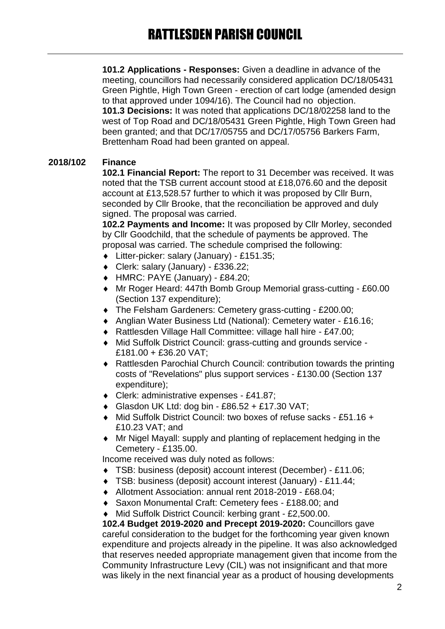**101.2 Applications - Responses:** Given a deadline in advance of the meeting, councillors had necessarily considered application DC/18/05431 Green Pightle, High Town Green - erection of cart lodge (amended design to that approved under 1094/16). The Council had no objection. **101.3 Decisions:** It was noted that applications DC/18/02258 land to the west of Top Road and DC/18/05431 Green Pightle, High Town Green had been granted; and that DC/17/05755 and DC/17/05756 Barkers Farm, Brettenham Road had been granted on appeal.

# **2018/102 Finance**

**102.1 Financial Report:** The report to 31 December was received. It was noted that the TSB current account stood at £18,076.60 and the deposit account at £13,528.57 further to which it was proposed by Cllr Burn, seconded by Cllr Brooke, that the reconciliation be approved and duly signed. The proposal was carried.

**102.2 Payments and Income:** It was proposed by Cllr Morley, seconded by Cllr Goodchild, that the schedule of payments be approved. The proposal was carried. The schedule comprised the following:

- Litter-picker: salary (January) £151.35;
- Clerk: salary (January) £336.22;
- HMRC: PAYE (January) £84.20;
- Mr Roger Heard: 447th Bomb Group Memorial grass-cutting £60.00 (Section 137 expenditure);
- ◆ The Felsham Gardeners: Cemetery grass-cutting £200.00;
- Anglian Water Business Ltd (National): Cemetery water £16.16;
- Rattlesden Village Hall Committee: village hall hire £47.00;
- Mid Suffolk District Council: grass-cutting and grounds service £181.00 + £36.20 VAT;
- Rattlesden Parochial Church Council: contribution towards the printing costs of "Revelations" plus support services - £130.00 (Section 137 expenditure);
- Clerk: administrative expenses £41.87;
- Glasdon UK Ltd: dog bin £86.52 + £17.30 VAT;
- Mid Suffolk District Council: two boxes of refuse sacks £51.16 + £10.23 VAT; and
- Mr Nigel Mayall: supply and planting of replacement hedging in the Cemetery - £135.00.

Income received was duly noted as follows:

- TSB: business (deposit) account interest (December) £11.06;
- TSB: business (deposit) account interest (January) £11.44;
- Allotment Association: annual rent 2018-2019 £68.04;
- Saxon Monumental Craft: Cemetery fees £188.00; and
- Mid Suffolk District Council: kerbing grant £2,500.00.

**102.4 Budget 2019-2020 and Precept 2019-2020:** Councillors gave careful consideration to the budget for the forthcoming year given known expenditure and projects already in the pipeline. It was also acknowledged that reserves needed appropriate management given that income from the Community Infrastructure Levy (CIL) was not insignificant and that more was likely in the next financial year as a product of housing developments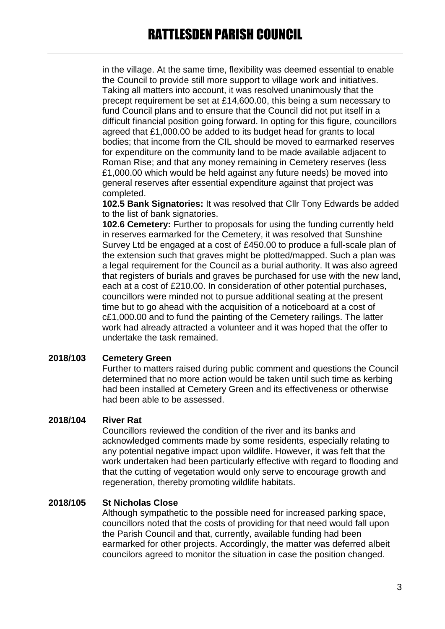in the village. At the same time, flexibility was deemed essential to enable the Council to provide still more support to village work and initiatives. Taking all matters into account, it was resolved unanimously that the precept requirement be set at £14,600.00, this being a sum necessary to fund Council plans and to ensure that the Council did not put itself in a difficult financial position going forward. In opting for this figure, councillors agreed that £1,000.00 be added to its budget head for grants to local bodies; that income from the CIL should be moved to earmarked reserves for expenditure on the community land to be made available adjacent to Roman Rise; and that any money remaining in Cemetery reserves (less £1,000.00 which would be held against any future needs) be moved into general reserves after essential expenditure against that project was completed.

**102.5 Bank Signatories:** It was resolved that Cllr Tony Edwards be added to the list of bank signatories.

**102.6 Cemetery:** Further to proposals for using the funding currently held in reserves earmarked for the Cemetery, it was resolved that Sunshine Survey Ltd be engaged at a cost of £450.00 to produce a full-scale plan of the extension such that graves might be plotted/mapped. Such a plan was a legal requirement for the Council as a burial authority. It was also agreed that registers of burials and graves be purchased for use with the new land, each at a cost of £210.00. In consideration of other potential purchases, councillors were minded not to pursue additional seating at the present time but to go ahead with the acquisition of a noticeboard at a cost of c£1,000.00 and to fund the painting of the Cemetery railings. The latter work had already attracted a volunteer and it was hoped that the offer to undertake the task remained.

#### **2018/103 Cemetery Green**

Further to matters raised during public comment and questions the Council determined that no more action would be taken until such time as kerbing had been installed at Cemetery Green and its effectiveness or otherwise had been able to be assessed.

#### **2018/104 River Rat**

Councillors reviewed the condition of the river and its banks and acknowledged comments made by some residents, especially relating to any potential negative impact upon wildlife. However, it was felt that the work undertaken had been particularly effective with regard to flooding and that the cutting of vegetation would only serve to encourage growth and regeneration, thereby promoting wildlife habitats.

#### **2018/105 St Nicholas Close**

Although sympathetic to the possible need for increased parking space, councillors noted that the costs of providing for that need would fall upon the Parish Council and that, currently, available funding had been earmarked for other projects. Accordingly, the matter was deferred albeit councilors agreed to monitor the situation in case the position changed.